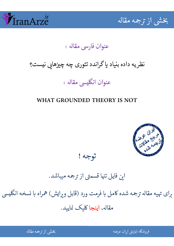



## عنوان فارسي مقاله :

# نظریه داده بنیاد یا گراندد تئوری چه چیزهایی نیست؟

### ֧֧֖֧֦֧֦֧֖֖֧֧֚֚֚֚֬֝֕֝֬֝֬֝֬֝֬֝֝֬֝֬֝֬֝֬֝֓֝֬֝֬֝֬֝֬֝֬ عنوان انگليسي مقاله :

### WHAT GROUNDED THEORY IS NOT



## توجه !

# این فایل تنها قسمتی از ترجمه میباشد.

برای تهیه مقاله ترجمه شده کامل با فرمت ورد (قابل ویرایش) همراه با نسخه انگلیسی  $\overline{\phantom{a}}$ نسخه انگل ֦֘ مقاله، اينجا کليک نماييد.

شی از ترجمه <mark>مقال</mark>ه

֖֢ׅ֦֧ׅ֧֧֪ׅ֚֚֚֚֚֚֚֚֚֚֬֓֡֡֡֡֬֓֡֬֜֓֡֬֓֡֬֓֡֬֓֡֬֓֬֓֓֡֬ ه اين العرضه المستقلة المستقلة المستقلة المستقلة المستقلة المستقلة المستقلة المستقلة المستقلة المستقلة المستقل<br>المستقلة المستقلة المستقلة المستقلة المستقلة المستقلة المستقلة المستقلة المستقلة المستقلة المستقلة المستقلة ال